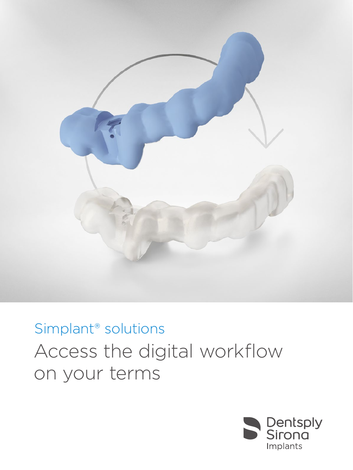

## Access the digital workflow on your terms Simplant® solutions